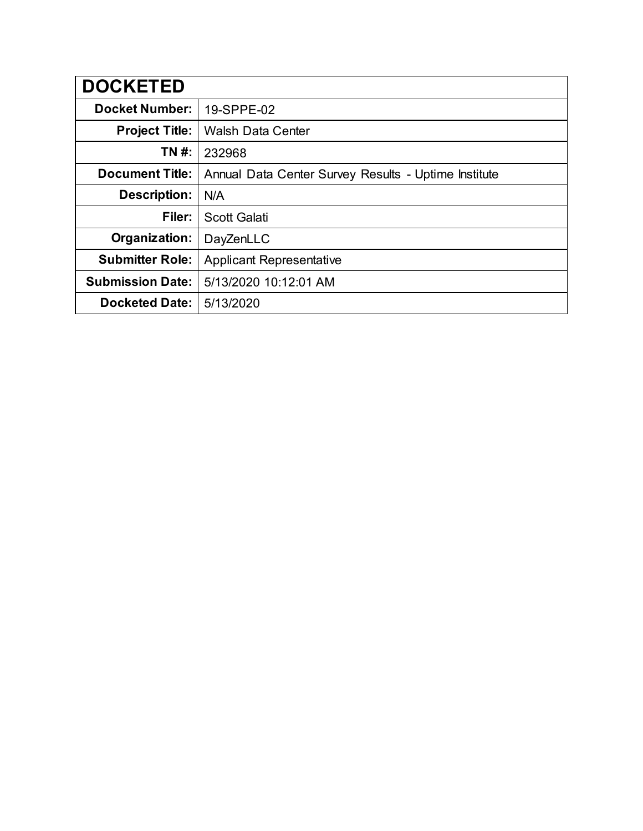| <b>DOCKETED</b>         |                                                      |
|-------------------------|------------------------------------------------------|
| <b>Docket Number:</b>   | 19-SPPE-02                                           |
| <b>Project Title:</b>   | <b>Walsh Data Center</b>                             |
| TN #:                   | 232968                                               |
| <b>Document Title:</b>  | Annual Data Center Survey Results - Uptime Institute |
| <b>Description:</b>     | N/A                                                  |
| Filer:                  | <b>Scott Galati</b>                                  |
| Organization:           | DayZenLLC                                            |
| <b>Submitter Role:</b>  | <b>Applicant Representative</b>                      |
| <b>Submission Date:</b> | 5/13/2020 10:12:01 AM                                |
| <b>Docketed Date:</b>   | 5/13/2020                                            |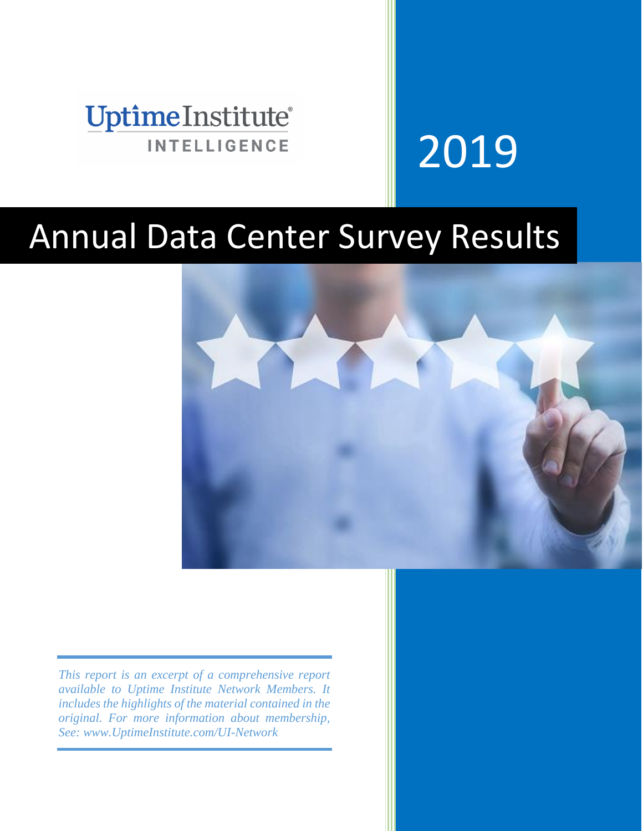

# 2019

# Annual Data Center Survey Results



*This report is an excerpt of a comprehensive report available to Uptime Institute Network Members. It includes the highlights of the material contained in the original. For more information about membership, See: www.UptimeInstitute.com/UI-Network*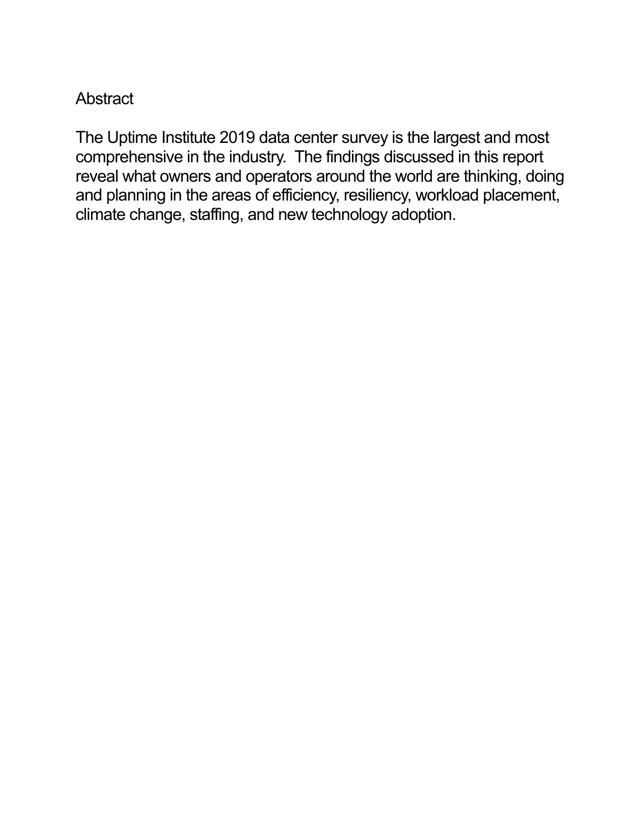#### **Abstract**

The Uptime Institute 2019 data center survey is the largest and most comprehensive in the industry. The findings discussed in this report reveal what owners and operators around the world are thinking, doing and planning in the areas of efficiency, resiliency, workload placement, climate change, staffing, and new technology adoption.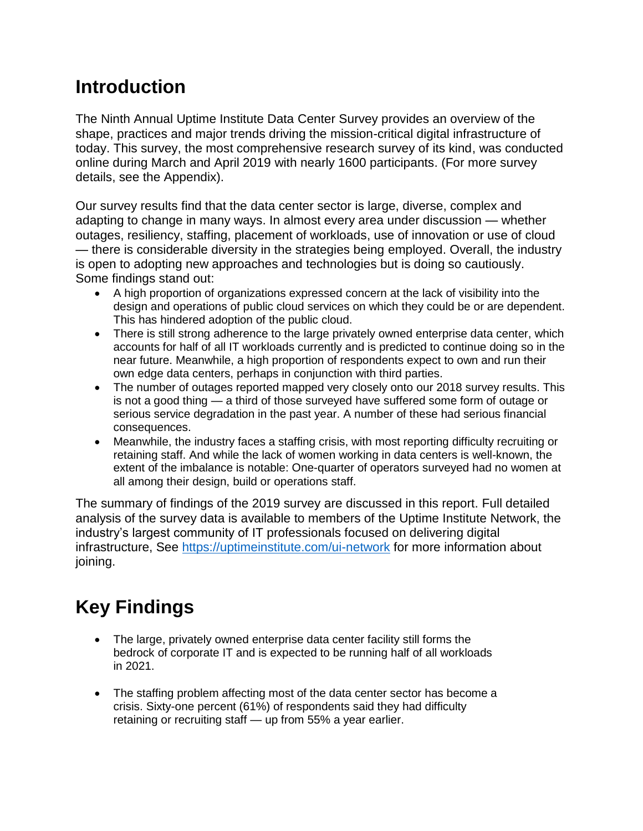# **Introduction**

The Ninth Annual Uptime Institute Data Center Survey provides an overview of the shape, practices and major trends driving the mission-critical digital infrastructure of today. This survey, the most comprehensive research survey of its kind, was conducted online during March and April 2019 with nearly 1600 participants. (For more survey details, see the Appendix).

Our survey results find that the data center sector is large, diverse, complex and adapting to change in many ways. In almost every area under discussion — whether outages, resiliency, staffing, placement of workloads, use of innovation or use of cloud — there is considerable diversity in the strategies being employed. Overall, the industry is open to adopting new approaches and technologies but is doing so cautiously. Some findings stand out:

- A high proportion of organizations expressed concern at the lack of visibility into the design and operations of public cloud services on which they could be or are dependent. This has hindered adoption of the public cloud.
- There is still strong adherence to the large privately owned enterprise data center, which accounts for half of all IT workloads currently and is predicted to continue doing so in the near future. Meanwhile, a high proportion of respondents expect to own and run their own edge data centers, perhaps in conjunction with third parties.
- The number of outages reported mapped very closely onto our 2018 survey results. This is not a good thing — a third of those surveyed have suffered some form of outage or serious service degradation in the past year. A number of these had serious financial consequences.
- Meanwhile, the industry faces a staffing crisis, with most reporting difficulty recruiting or retaining staff. And while the lack of women working in data centers is well-known, the extent of the imbalance is notable: One-quarter of operators surveyed had no women at all among their design, build or operations staff.

The summary of findings of the 2019 survey are discussed in this report. Full detailed analysis of the survey data is available to members of the Uptime Institute Network, the industry's largest community of IT professionals focused on delivering digital infrastructure, See<https://uptimeinstitute.com/ui-network> for more information about joining.

# **Key Findings**

- The large, privately owned enterprise data center facility still forms the bedrock of corporate IT and is expected to be running half of all workloads in 2021.
- The staffing problem affecting most of the data center sector has become a crisis. Sixty-one percent (61%) of respondents said they had difficulty retaining or recruiting staff — up from 55% a year earlier.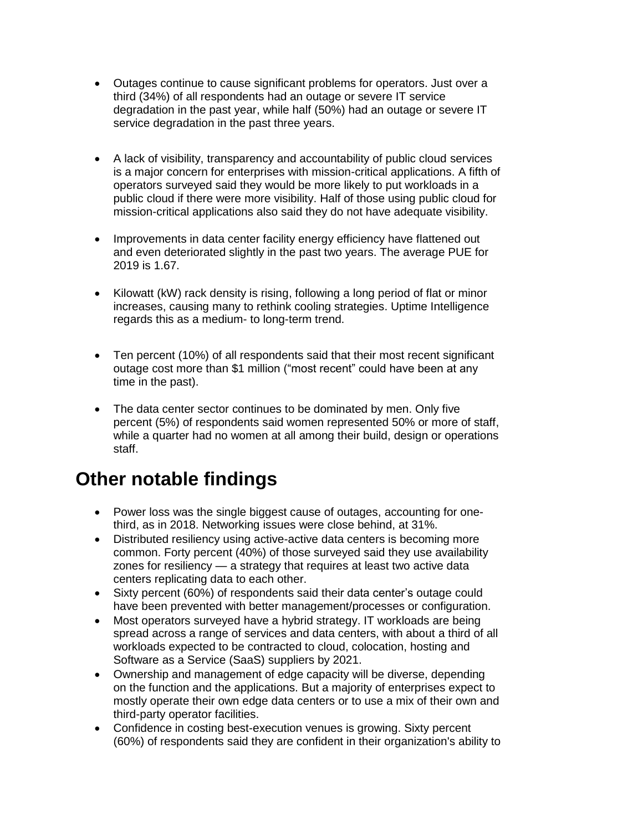- Outages continue to cause significant problems for operators. Just over a third (34%) of all respondents had an outage or severe IT service degradation in the past year, while half (50%) had an outage or severe IT service degradation in the past three years.
- A lack of visibility, transparency and accountability of public cloud services is a major concern for enterprises with mission-critical applications. A fifth of operators surveyed said they would be more likely to put workloads in a public cloud if there were more visibility. Half of those using public cloud for mission-critical applications also said they do not have adequate visibility.
- Improvements in data center facility energy efficiency have flattened out and even deteriorated slightly in the past two years. The average PUE for 2019 is 1.67.
- Kilowatt (kW) rack density is rising, following a long period of flat or minor increases, causing many to rethink cooling strategies. Uptime Intelligence regards this as a medium- to long-term trend.
- Ten percent (10%) of all respondents said that their most recent significant outage cost more than \$1 million ("most recent" could have been at any time in the past).
- The data center sector continues to be dominated by men. Only five percent (5%) of respondents said women represented 50% or more of staff, while a quarter had no women at all among their build, design or operations staff.

## **Other notable findings**

- Power loss was the single biggest cause of outages, accounting for onethird, as in 2018. Networking issues were close behind, at 31%.
- Distributed resiliency using active-active data centers is becoming more common. Forty percent (40%) of those surveyed said they use availability zones for resiliency — a strategy that requires at least two active data centers replicating data to each other.
- Sixty percent (60%) of respondents said their data center's outage could have been prevented with better management/processes or configuration.
- Most operators surveyed have a hybrid strategy. IT workloads are being spread across a range of services and data centers, with about a third of all workloads expected to be contracted to cloud, colocation, hosting and Software as a Service (SaaS) suppliers by 2021.
- Ownership and management of edge capacity will be diverse, depending on the function and the applications. But a majority of enterprises expect to mostly operate their own edge data centers or to use a mix of their own and third-party operator facilities.
- Confidence in costing best-execution venues is growing. Sixty percent (60%) of respondents said they are confident in their organization's ability to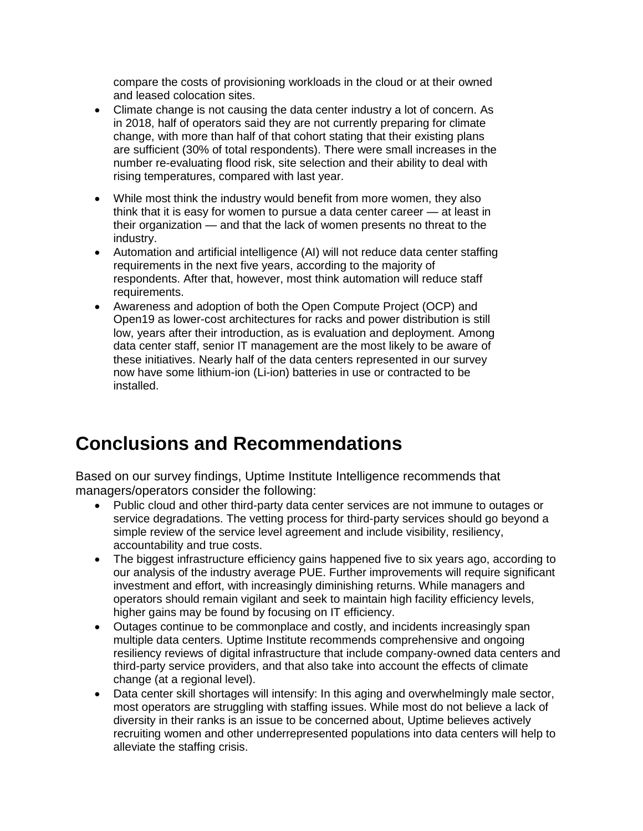compare the costs of provisioning workloads in the cloud or at their owned and leased colocation sites.

- Climate change is not causing the data center industry a lot of concern. As in 2018, half of operators said they are not currently preparing for climate change, with more than half of that cohort stating that their existing plans are sufficient (30% of total respondents). There were small increases in the number re-evaluating flood risk, site selection and their ability to deal with rising temperatures, compared with last year.
- While most think the industry would benefit from more women, they also think that it is easy for women to pursue a data center career — at least in their organization — and that the lack of women presents no threat to the industry.
- Automation and artificial intelligence (AI) will not reduce data center staffing requirements in the next five years, according to the majority of respondents. After that, however, most think automation will reduce staff requirements.
- Awareness and adoption of both the Open Compute Project (OCP) and Open19 as lower-cost architectures for racks and power distribution is still low, years after their introduction, as is evaluation and deployment. Among data center staff, senior IT management are the most likely to be aware of these initiatives. Nearly half of the data centers represented in our survey now have some lithium-ion (Li-ion) batteries in use or contracted to be installed.

## **Conclusions and Recommendations**

Based on our survey findings, Uptime Institute Intelligence recommends that managers/operators consider the following:

- Public cloud and other third-party data center services are not immune to outages or service degradations. The vetting process for third-party services should go beyond a simple review of the service level agreement and include visibility, resiliency, accountability and true costs.
- The biggest infrastructure efficiency gains happened five to six years ago, according to our analysis of the industry average PUE. Further improvements will require significant investment and effort, with increasingly diminishing returns. While managers and operators should remain vigilant and seek to maintain high facility efficiency levels, higher gains may be found by focusing on IT efficiency.
- Outages continue to be commonplace and costly, and incidents increasingly span multiple data centers. Uptime Institute recommends comprehensive and ongoing resiliency reviews of digital infrastructure that include company-owned data centers and third-party service providers, and that also take into account the effects of climate change (at a regional level).
- Data center skill shortages will intensify: In this aging and overwhelmingly male sector, most operators are struggling with staffing issues. While most do not believe a lack of diversity in their ranks is an issue to be concerned about, Uptime believes actively recruiting women and other underrepresented populations into data centers will help to alleviate the staffing crisis.